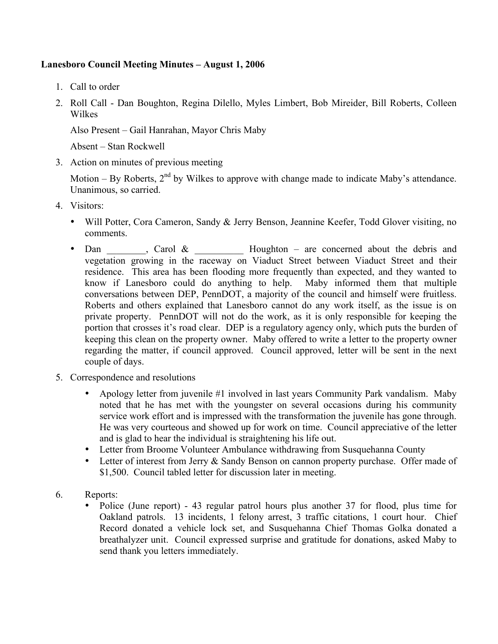## **Lanesboro Council Meeting Minutes – August 1, 2006**

- 1. Call to order
- 2. Roll Call Dan Boughton, Regina Dilello, Myles Limbert, Bob Mireider, Bill Roberts, Colleen Wilkes

Also Present – Gail Hanrahan, Mayor Chris Maby

Absent – Stan Rockwell

3. Action on minutes of previous meeting

Motion – By Roberts,  $2<sup>nd</sup>$  by Wilkes to approve with change made to indicate Maby's attendance. Unanimous, so carried.

- 4. Visitors:
	- Will Potter, Cora Cameron, Sandy & Jerry Benson, Jeannine Keefer, Todd Glover visiting, no comments.
	- Dan \_\_\_\_\_, Carol & \_\_\_\_\_\_\_\_\_ Houghton are concerned about the debris and vegetation growing in the raceway on Viaduct Street between Viaduct Street and their residence. This area has been flooding more frequently than expected, and they wanted to know if Lanesboro could do anything to help. Maby informed them that multiple conversations between DEP, PennDOT, a majority of the council and himself were fruitless. Roberts and others explained that Lanesboro cannot do any work itself, as the issue is on private property. PennDOT will not do the work, as it is only responsible for keeping the portion that crosses it's road clear. DEP is a regulatory agency only, which puts the burden of keeping this clean on the property owner. Maby offered to write a letter to the property owner regarding the matter, if council approved. Council approved, letter will be sent in the next couple of days.
- 5. Correspondence and resolutions
	- Apology letter from juvenile #1 involved in last years Community Park vandalism. Maby noted that he has met with the youngster on several occasions during his community service work effort and is impressed with the transformation the juvenile has gone through. He was very courteous and showed up for work on time. Council appreciative of the letter and is glad to hear the individual is straightening his life out.
	- Letter from Broome Volunteer Ambulance withdrawing from Susquehanna County
	- Letter of interest from Jerry & Sandy Benson on cannon property purchase. Offer made of \$1,500. Council tabled letter for discussion later in meeting.
- 6. Reports:
	- Police (June report) 43 regular patrol hours plus another 37 for flood, plus time for Oakland patrols. 13 incidents, 1 felony arrest, 3 traffic citations, 1 court hour. Chief Record donated a vehicle lock set, and Susquehanna Chief Thomas Golka donated a breathalyzer unit. Council expressed surprise and gratitude for donations, asked Maby to send thank you letters immediately.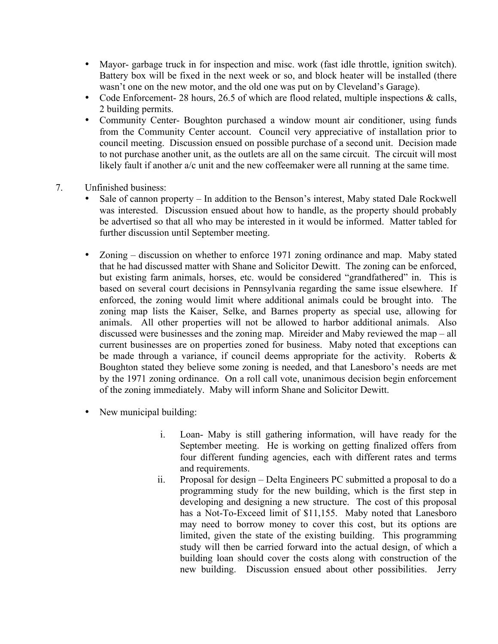- Mayor- garbage truck in for inspection and misc. work (fast idle throttle, ignition switch). Battery box will be fixed in the next week or so, and block heater will be installed (there wasn't one on the new motor, and the old one was put on by Cleveland's Garage).
- Code Enforcement- 28 hours, 26.5 of which are flood related, multiple inspections & calls, 2 building permits.
- Community Center- Boughton purchased a window mount air conditioner, using funds from the Community Center account. Council very appreciative of installation prior to council meeting. Discussion ensued on possible purchase of a second unit. Decision made to not purchase another unit, as the outlets are all on the same circuit. The circuit will most likely fault if another a/c unit and the new coffeemaker were all running at the same time.
- 7. Unfinished business:
	- Sale of cannon property In addition to the Benson's interest, Maby stated Dale Rockwell was interested. Discussion ensued about how to handle, as the property should probably be advertised so that all who may be interested in it would be informed. Matter tabled for further discussion until September meeting.
	- Zoning discussion on whether to enforce 1971 zoning ordinance and map. Maby stated that he had discussed matter with Shane and Solicitor Dewitt. The zoning can be enforced, but existing farm animals, horses, etc. would be considered "grandfathered" in. This is based on several court decisions in Pennsylvania regarding the same issue elsewhere. If enforced, the zoning would limit where additional animals could be brought into. The zoning map lists the Kaiser, Selke, and Barnes property as special use, allowing for animals. All other properties will not be allowed to harbor additional animals. Also discussed were businesses and the zoning map. Mireider and Maby reviewed the map – all current businesses are on properties zoned for business. Maby noted that exceptions can be made through a variance, if council deems appropriate for the activity. Roberts & Boughton stated they believe some zoning is needed, and that Lanesboro's needs are met by the 1971 zoning ordinance. On a roll call vote, unanimous decision begin enforcement of the zoning immediately. Maby will inform Shane and Solicitor Dewitt.
	- New municipal building:
		- i. Loan- Maby is still gathering information, will have ready for the September meeting. He is working on getting finalized offers from four different funding agencies, each with different rates and terms and requirements.
		- ii. Proposal for design Delta Engineers PC submitted a proposal to do a programming study for the new building, which is the first step in developing and designing a new structure. The cost of this proposal has a Not-To-Exceed limit of \$11,155. Maby noted that Lanesboro may need to borrow money to cover this cost, but its options are limited, given the state of the existing building. This programming study will then be carried forward into the actual design, of which a building loan should cover the costs along with construction of the new building. Discussion ensued about other possibilities. Jerry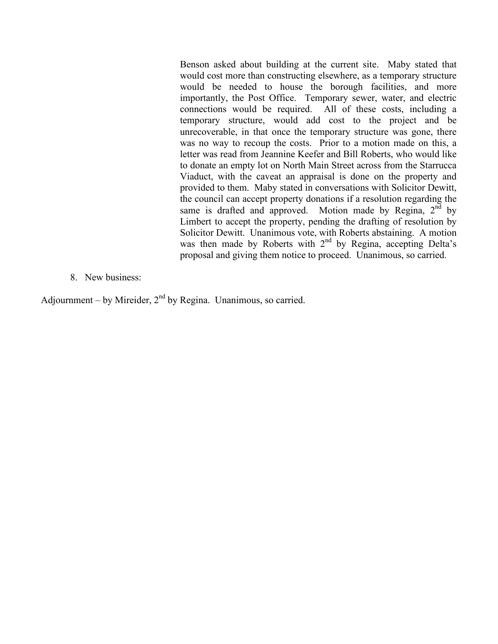Benson asked about building at the current site. Maby stated that would cost more than constructing elsewhere, as a temporary structure would be needed to house the borough facilities, and more importantly, the Post Office. Temporary sewer, water, and electric connections would be required. All of these costs, including a temporary structure, would add cost to the project and be unrecoverable, in that once the temporary structure was gone, there was no way to recoup the costs. Prior to a motion made on this, a letter was read from Jeannine Keefer and Bill Roberts, who would like to donate an empty lot on North Main Street across from the Starrucca Viaduct, with the caveat an appraisal is done on the property and provided to them. Maby stated in conversations with Solicitor Dewitt, the council can accept property donations if a resolution regarding the same is drafted and approved. Motion made by Regina,  $2<sup>nd</sup>$  by Limbert to accept the property, pending the drafting of resolution by Solicitor Dewitt. Unanimous vote, with Roberts abstaining. A motion was then made by Roberts with 2<sup>nd</sup> by Regina, accepting Delta's proposal and giving them notice to proceed. Unanimous, so carried.

8. New business:

Adjournment – by Mireider,  $2<sup>nd</sup>$  by Regina. Unanimous, so carried.